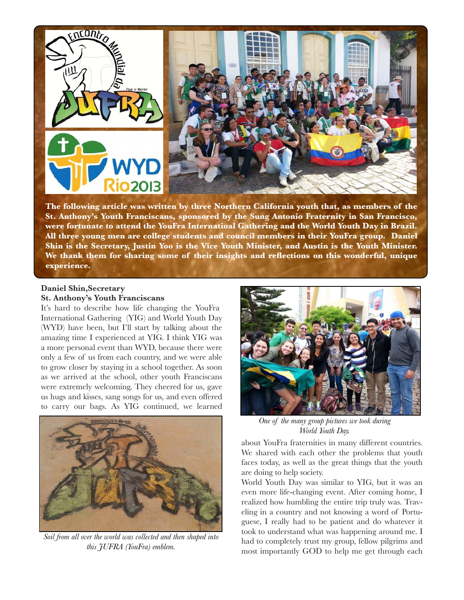

**The following article was written by three Northern California youth that, as members of the St. Anthony's Youth Franciscans, sponsored by the Sung Antonio Fraternity in San Francisco, were fortunate to attend the YouFra Internatioal Gathering and the World Youth Day in Brazil. All three young men are college students and council members in their YouFra group. Daniel Shin is the Secretary, Justin Yoo is the Vice Youth Minister, and Austin is the Youth Minister. We thank them for sharing some of their insights and reflections on this wonderful, unique experience.** 

## **Daniel Shin,Secretary**

**St. Anthony's Youth Franciscans**

It's hard to describe how life changing the YouFra International Gathering (YIG) and World Youth Day (WYD) have been, but I'll start by talking about the amazing time I experienced at YIG. I think YIG was a more personal event than WYD, because there were only a few of us from each country, and we were able to grow closer by staying in a school together. As soon as we arrived at the school, other youth Franciscans were extremely welcoming. They cheered for us, gave us hugs and kisses, sang songs for us, and even offered to carry our bags. As YIG continued, we learned



*Soil from all over the world was collected and then shaped into this JUFRA (YouFra) emblem.*



*One of the many group pictures we took during World Youth Day.*

about YouFra fraternities in many different countries. We shared with each other the problems that youth faces today, as well as the great things that the youth are doing to help society.

World Youth Day was similar to YIG, but it was an even more life-changing event. After coming home, I realized how humbling the entire trip truly was. Traveling in a country and not knowing a word of Portuguese, I really had to be patient and do whatever it took to understand what was happening around me. I had to completely trust my group, fellow pilgrims and most importantly GOD to help me get through each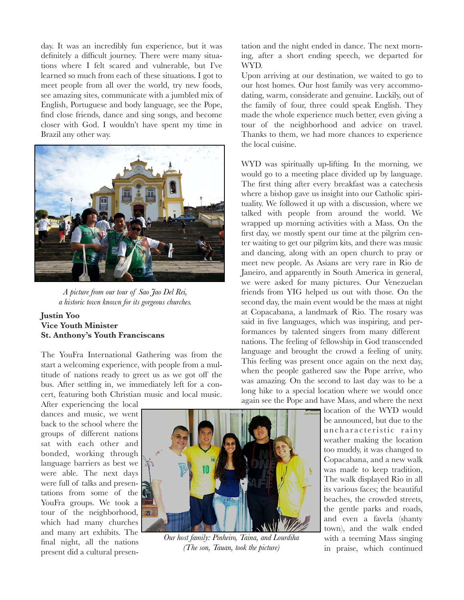day. It was an incredibly fun experience, but it was definitely a difficult journey. There were many situations where I felt scared and vulnerable, but I've learned so much from each of these situations. I got to meet people from all over the world, try new foods, see amazing sites, communicate with a jumbled mix of English, Portuguese and body language, see the Pope, find close friends, dance and sing songs, and become closer with God. I wouldn't have spent my time in Brazil any other way.



*A picture from our tour of Sao Jao Del Rei, a historic town known for its gorgeous churches.*

## **Justin Yoo Vice Youth Minister St. Anthony's Youth Franciscans**

The YouFra International Gathering was from the start a welcoming experience, with people from a multitude of nations ready to greet us as we got off the bus. After settling in, we immediately left for a concert, featuring both Christian music and local music.

After experiencing the local dances and music, we went back to the school where the groups of different nations sat with each other and bonded, working through language barriers as best we were able. The next days were full of talks and presentations from some of the YouFra groups. We took a tour of the neighborhood, which had many churches and many art exhibits. The final night, all the nations present did a cultural presen-



*Our host family: Pinheiro, Taina, and Lourdiha (The son, Tauan, took the picture)*

tation and the night ended in dance. The next morning, after a short ending speech, we departed for WYD.

Upon arriving at our destination, we waited to go to our host homes. Our host family was very accommodating, warm, considerate and genuine. Luckily, out of the family of four, three could speak English. They made the whole experience much better, even giving a tour of the neighborhood and advice on travel. Thanks to them, we had more chances to experience the local cuisine.

WYD was spiritually up-lifting. In the morning, we would go to a meeting place divided up by language. The first thing after every breakfast was a catechesis where a bishop gave us insight into our Catholic spirituality. We followed it up with a discussion, where we talked with people from around the world. We wrapped up morning activities with a Mass. On the first day, we mostly spent our time at the pilgrim center waiting to get our pilgrim kits, and there was music and dancing, along with an open church to pray or meet new people. As Asians are very rare in Rio de Janeiro, and apparently in South America in general, we were asked for many pictures. Our Venezuelan friends from YIG helped us out with those. On the second day, the main event would be the mass at night at Copacabana, a landmark of Rio. The rosary was said in five languages, which was inspiring, and performances by talented singers from many different nations. The feeling of fellowship in God transcended language and brought the crowd a feeling of unity. This feeling was present once again on the next day, when the people gathered saw the Pope arrive, who was amazing. On the second to last day was to be a long hike to a special location where we would once again see the Pope and have Mass, and where the next

> location of the WYD would be announced, but due to the un characteristic rainy weather making the location too muddy, it was changed to Copacabana, and a new walk was made to keep tradition, The walk displayed Rio in all its various faces; the beautiful beaches, the crowded streets, the gentle parks and roads, and even a favela (shanty town), and the walk ended with a teeming Mass singing in praise, which continued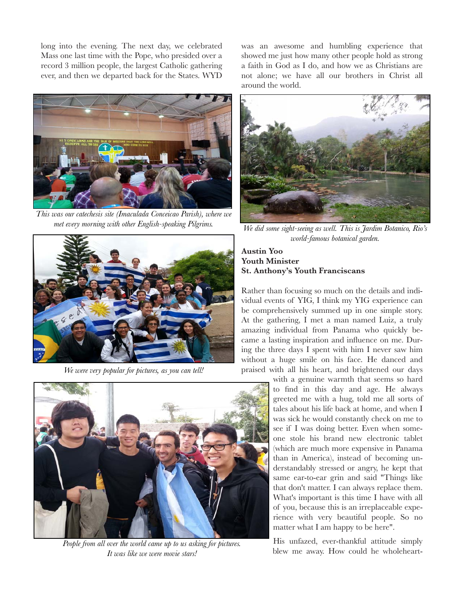long into the evening. The next day, we celebrated Mass one last time with the Pope, who presided over a record 3 million people, the largest Catholic gathering ever, and then we departed back for the States. WYD



*This was our catechesis site (Imaculada Conceicao Parish), where we met every morning with other English-speaking Pilgrims.*



*We were very popular for pictures, as you can tell!*



*People from all over the world came up to us asking for pictures. It was like we were movie stars!*

was an awesome and humbling experience that showed me just how many other people hold as strong a faith in God as I do, and how we as Christians are not alone; we have all our brothers in Christ all around the world.



*We did some sight-seeing as well. This is Jardim Botanico, Rio's world-famous botanical garden.*

## **Austin Yoo Youth Minister St. Anthony's Youth Franciscans**

Rather than focusing so much on the details and individual events of YIG, I think my YIG experience can be comprehensively summed up in one simple story. At the gathering, I met a man named Luiz, a truly amazing individual from Panama who quickly became a lasting inspiration and influence on me. During the three days I spent with him I never saw him without a huge smile on his face. He danced and praised with all his heart, and brightened our days

with a genuine warmth that seems so hard to find in this day and age. He always greeted me with a hug, told me all sorts of tales about his life back at home, and when I was sick he would constantly check on me to see if I was doing better. Even when someone stole his brand new electronic tablet (which are much more expensive in Panama than in America), instead of becoming understandably stressed or angry, he kept that same ear-to-ear grin and said "Things like that don't matter. I can always replace them. What's important is this time I have with all of you, because this is an irreplaceable experience with very beautiful people. So no matter what I am happy to be here".

His unfazed, ever-thankful attitude simply blew me away. How could he wholeheart